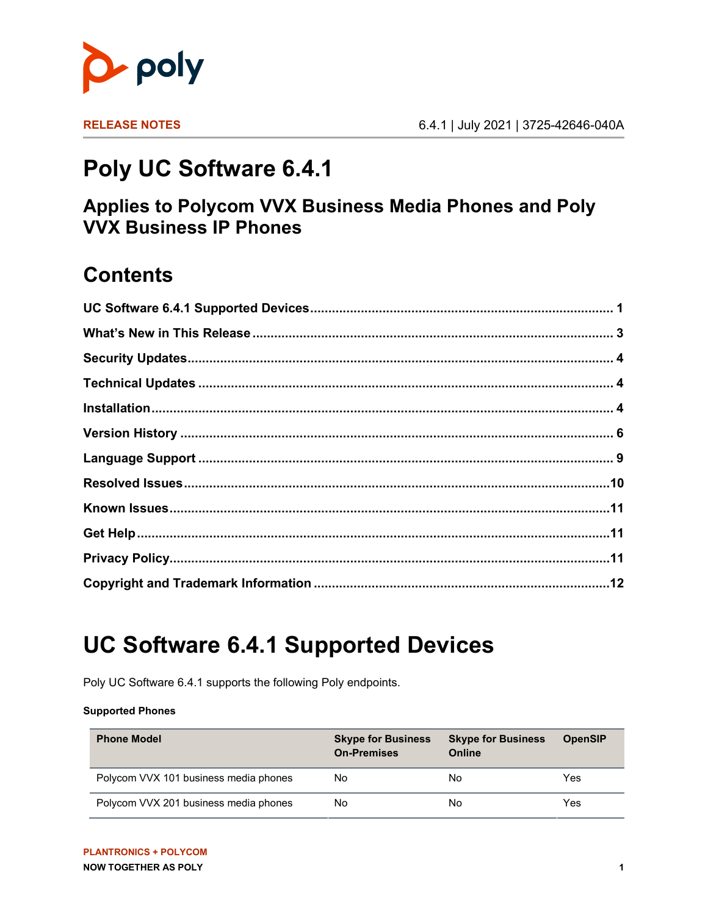

# **Poly UC Software 6.4.1**

#### **Applies to Polycom VVX Business Media Phones and Poly VVX Business IP Phones**

### **Contents**

# <span id="page-0-0"></span>**UC Software 6.4.1 Supported Devices**

Poly UC Software 6.4.1 supports the following Poly endpoints.

#### **Supported Phones**

| <b>Phone Model</b>                    | <b>Skype for Business</b><br><b>On-Premises</b> | <b>Skype for Business</b><br>Online | <b>OpenSIP</b> |
|---------------------------------------|-------------------------------------------------|-------------------------------------|----------------|
| Polycom VVX 101 business media phones | No                                              | No                                  | Yes            |
| Polycom VVX 201 business media phones | No                                              | No                                  | Yes            |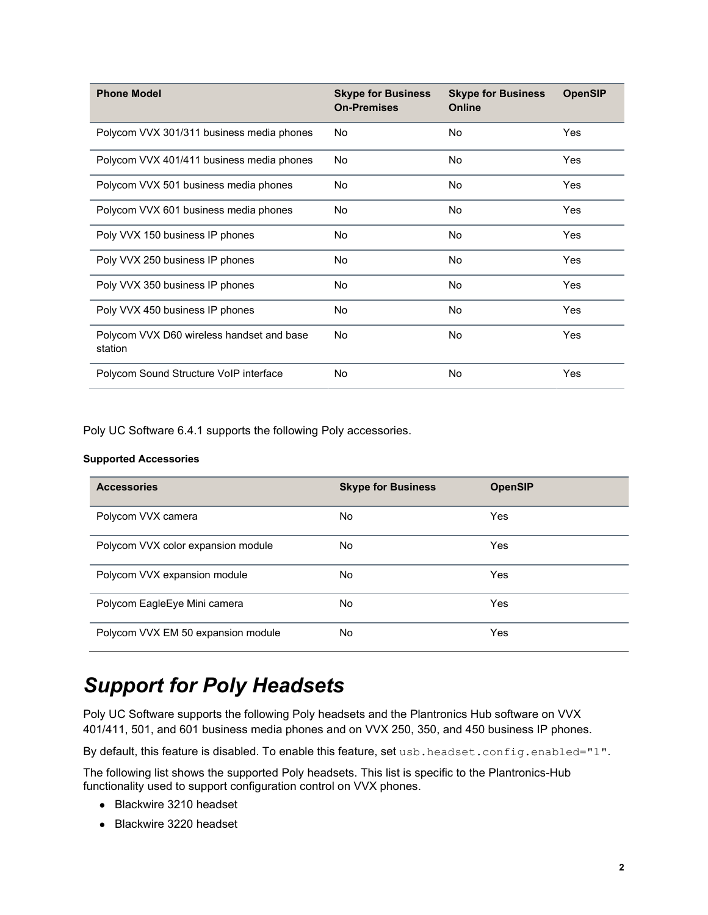| <b>Phone Model</b>                                   | <b>Skype for Business</b><br><b>On-Premises</b> | <b>Skype for Business</b><br>Online | <b>OpenSIP</b> |
|------------------------------------------------------|-------------------------------------------------|-------------------------------------|----------------|
| Polycom VVX 301/311 business media phones            | No                                              | <b>No</b>                           | Yes            |
| Polycom VVX 401/411 business media phones            | No.                                             | <b>No</b>                           | Yes            |
| Polycom VVX 501 business media phones                | <b>No</b>                                       | <b>No</b>                           | Yes            |
| Polycom VVX 601 business media phones                | No.                                             | <b>No</b>                           | Yes            |
| Poly VVX 150 business IP phones                      | No.                                             | <b>No</b>                           | Yes            |
| Poly VVX 250 business IP phones                      | No.                                             | <b>No</b>                           | Yes            |
| Poly VVX 350 business IP phones                      | No.                                             | <b>No</b>                           | Yes            |
| Poly VVX 450 business IP phones                      | No                                              | <b>No</b>                           | Yes            |
| Polycom VVX D60 wireless handset and base<br>station | No                                              | <b>No</b>                           | Yes            |
| Polycom Sound Structure VoIP interface               | <b>No</b>                                       | <b>No</b>                           | Yes            |

Poly UC Software 6.4.1 supports the following Poly accessories.

#### **Supported Accessories**

| <b>Accessories</b>                 | <b>Skype for Business</b> | <b>OpenSIP</b> |
|------------------------------------|---------------------------|----------------|
| Polycom VVX camera                 | No                        | Yes            |
| Polycom VVX color expansion module | No.                       | Yes            |
| Polycom VVX expansion module       | No                        | Yes            |
| Polycom EagleEye Mini camera       | No.                       | Yes            |
| Polycom VVX EM 50 expansion module | No.                       | Yes            |

#### *Support for Poly Headsets*

Poly UC Software supports the following Poly headsets and the Plantronics Hub software on VVX 401/411, 501, and 601 business media phones and on VVX 250, 350, and 450 business IP phones.

By default, this feature is disabled. To enable this feature, set usb. headset.config.enabled="1".

The following list shows the supported Poly headsets. This list is specific to the Plantronics-Hub functionality used to support configuration control on VVX phones.

- Blackwire 3210 headset
- Blackwire 3220 headset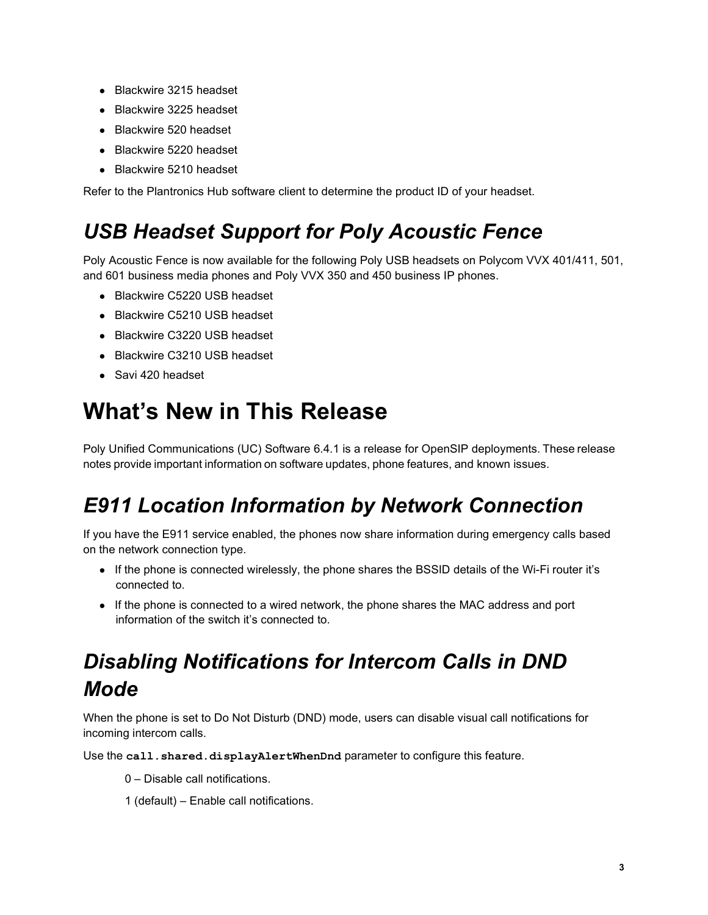- Blackwire 3215 headset
- Blackwire 3225 headset
- Blackwire 520 headset
- Blackwire 5220 headset
- Blackwire 5210 headset

Refer to the Plantronics Hub software client to determine the product ID of your headset.

### *USB Headset Support for Poly Acoustic Fence*

Poly Acoustic Fence is now available for the following Poly USB headsets on Polycom VVX 401/411, 501, and 601 business media phones and Poly VVX 350 and 450 business IP phones.

- Blackwire C5220 USB headset
- Blackwire C5210 USB headset
- Blackwire C3220 USB headset
- Blackwire C3210 USB headset
- Savi 420 headset

## <span id="page-2-0"></span>**What's New in This Release**

Poly Unified Communications (UC) Software 6.4.1 is a release for OpenSIP deployments. These release notes provide important information on software updates, phone features, and known issues.

### *E911 Location Information by Network Connection*

If you have the E911 service enabled, the phones now share information during emergency calls based on the network connection type.

- If the phone is connected wirelessly, the phone shares the BSSID details of the Wi-Fi router it's connected to.
- If the phone is connected to a wired network, the phone shares the MAC address and port information of the switch it's connected to.

## *Disabling Notifications for Intercom Calls in DND Mode*

When the phone is set to Do Not Disturb (DND) mode, users can disable visual call notifications for incoming intercom calls.

Use the **call.shared.displayAlertWhenDnd** parameter to configure this feature.

- 0 Disable call notifications.
- 1 (default) Enable call notifications.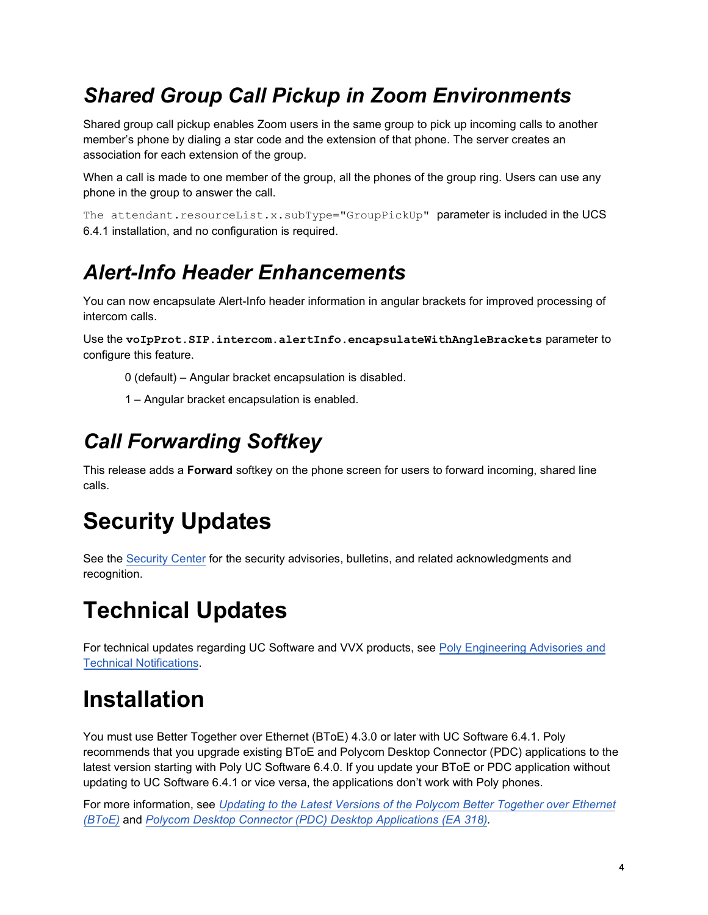## *Shared Group Call Pickup in Zoom Environments*

Shared group call pickup enables Zoom users in the same group to pick up incoming calls to another member's phone by dialing a star code and the extension of that phone. The server creates an association for each extension of the group.

When a call is made to one member of the group, all the phones of the group ring. Users can use any phone in the group to answer the call.

The attendant.resourceList.x.subType="GroupPickUp" parameter is included in the UCS 6.4.1 installation, and no configuration is required.

## *Alert-Info Header Enhancements*

You can now encapsulate Alert-Info header information in angular brackets for improved processing of intercom calls.

Use the **voIpProt.SIP.intercom.alertInfo.encapsulateWithAngleBrackets** parameter to configure this feature.

0 (default) – Angular bracket encapsulation is disabled.

1 – Angular bracket encapsulation is enabled.

## *Call Forwarding Softkey*

This release adds a **Forward** softkey on the phone screen for users to forward incoming, shared line calls.

# <span id="page-3-0"></span>**Security Updates**

See th[e Security Center](http://support.polycom.com/PolycomService/support/us/support/documentation/security_center.html) for the security advisories, bulletins, and related acknowledgments and recognition.

# <span id="page-3-1"></span>**Technical Updates**

For technical updates regarding UC Software and VVX products, see [Poly Engineering Advisories and](https://support.polycom.com/content/support/north-america/usa/en/support/voice/polycom-uc/polycom-engineering-advisories-and-technical-notifications.html)  [Technical Notifications.](https://support.polycom.com/content/support/north-america/usa/en/support/voice/polycom-uc/polycom-engineering-advisories-and-technical-notifications.html)

# <span id="page-3-2"></span>**Installation**

You must use Better Together over Ethernet (BToE) 4.3.0 or later with UC Software 6.4.1. Poly recommends that you upgrade existing BToE and Polycom Desktop Connector (PDC) applications to the latest version starting with Poly UC Software 6.4.0. If you update your BToE or PDC application without updating to UC Software 6.4.1 or vice versa, the applications don't work with Poly phones.

For more information, see *[Updating to the Latest Versions of the Polycom Better](https://support.polycom.com/content/dam/polycom-support/products/voice/polycom-uc/other-documents/en/2018/bote-pdc-application-upgrade-ea318.pdf) Together over Ethernet (BToE)* and *[Polycom Desktop Connector \(PDC\) Desktop Applications \(EA](https://support.polycom.com/content/dam/polycom-support/products/voice/polycom-uc/other-documents/en/2018/bote-pdc-application-upgrade-ea318.pdf) 318).*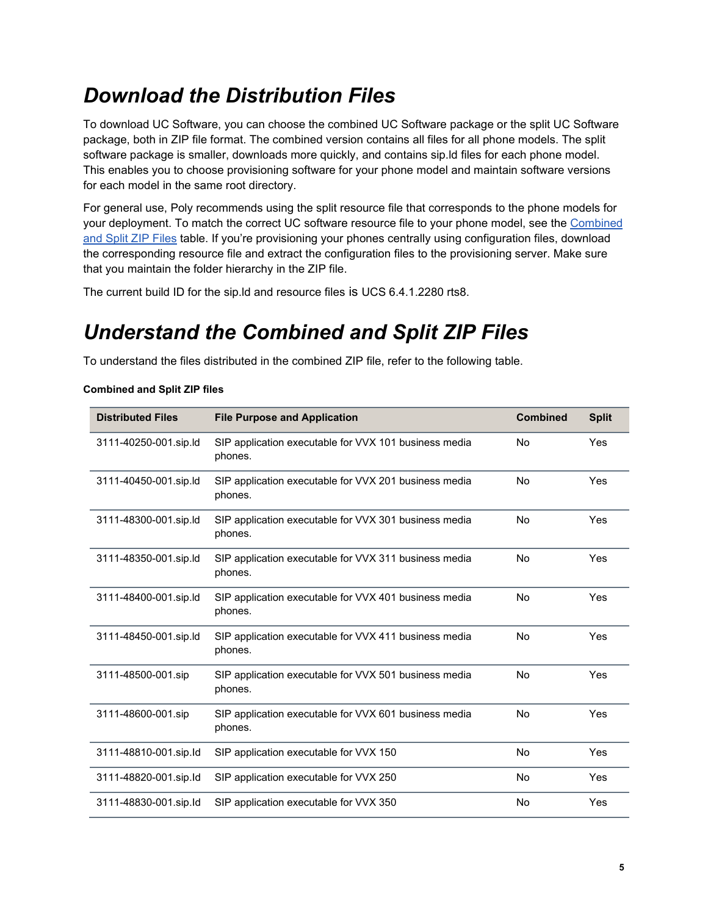### *Download the Distribution Files*

To download UC Software, you can choose the combined UC Software package or the split UC Software package, both in ZIP file format. The combined version contains all files for all phone models. The split software package is smaller, downloads more quickly, and contains sip.ld files for each phone model. This enables you to choose provisioning software for your phone model and maintain software versions for each model in the same root directory.

For general use, Poly recommends using the split resource file that corresponds to the phone models for your deployment. To match the correct UC software resource file to your phone model, see the [Combined](#page-4-0)  [and Split ZIP Files](#page-4-0) table. If you're provisioning your phones centrally using configuration files, download the corresponding resource file and extract the configuration files to the provisioning server. Make sure that you maintain the folder hierarchy in the ZIP file.

<span id="page-4-0"></span>The current build ID for the sip.ld and resource files is UCS 6.4.1.2280 rts8.

### *Understand the Combined and Split ZIP Files*

To understand the files distributed in the combined ZIP file, refer to the following table.

| <b>Combined and Split ZIP files</b> |  |  |  |  |
|-------------------------------------|--|--|--|--|
|-------------------------------------|--|--|--|--|

| <b>Distributed Files</b> | <b>File Purpose and Application</b>                              | <b>Combined</b> | <b>Split</b> |
|--------------------------|------------------------------------------------------------------|-----------------|--------------|
| 3111-40250-001.sip.ld    | SIP application executable for VVX 101 business media<br>phones. | No              | Yes          |
| 3111-40450-001.sip.ld    | SIP application executable for VVX 201 business media<br>phones. | No              | Yes          |
| 3111-48300-001.sip.ld    | SIP application executable for VVX 301 business media<br>phones. | No              | Yes          |
| 3111-48350-001.sip.ld    | SIP application executable for VVX 311 business media<br>phones. | No              | Yes          |
| 3111-48400-001.sip.ld    | SIP application executable for VVX 401 business media<br>phones. | No              | Yes          |
| 3111-48450-001.sip.ld    | SIP application executable for VVX 411 business media<br>phones. | No              | Yes          |
| 3111-48500-001.sip       | SIP application executable for VVX 501 business media<br>phones. | No              | Yes          |
| 3111-48600-001.sip       | SIP application executable for VVX 601 business media<br>phones. | <b>No</b>       | Yes          |
| 3111-48810-001.sip.ld    | SIP application executable for VVX 150                           | <b>No</b>       | Yes          |
| 3111-48820-001.sip.ld    | SIP application executable for VVX 250                           | <b>No</b>       | Yes          |
| 3111-48830-001.sip.ld    | SIP application executable for VVX 350                           | No              | Yes          |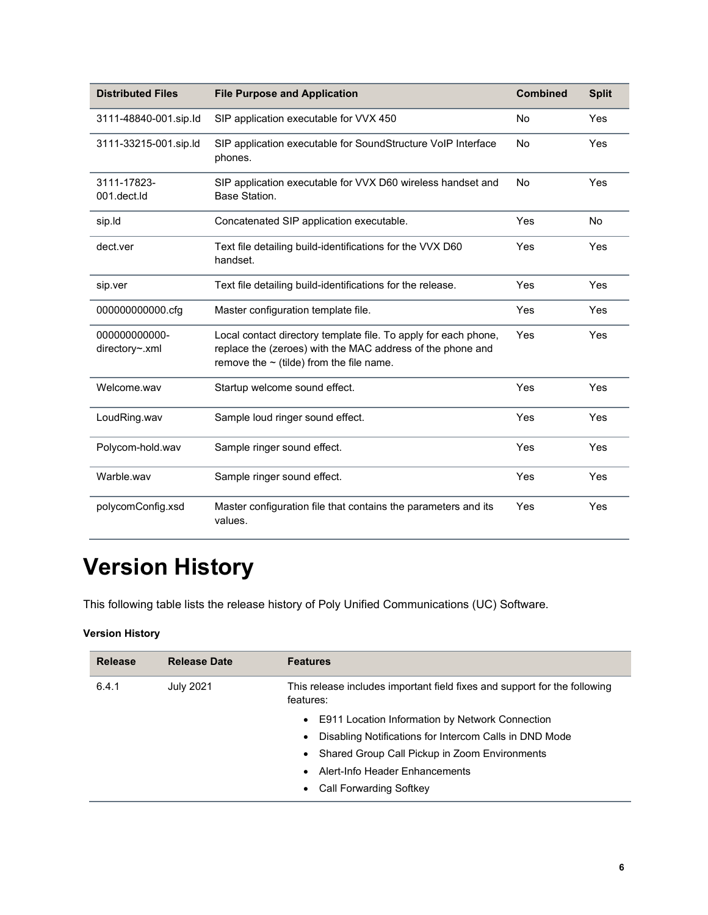| <b>Distributed Files</b>        | <b>File Purpose and Application</b>                                                                                                                                            | <b>Combined</b> | <b>Split</b> |
|---------------------------------|--------------------------------------------------------------------------------------------------------------------------------------------------------------------------------|-----------------|--------------|
| 3111-48840-001.sip.ld           | SIP application executable for VVX 450                                                                                                                                         | No              | Yes          |
| 3111-33215-001.sip.ld           | SIP application executable for SoundStructure VoIP Interface<br>phones.                                                                                                        | <b>No</b>       | Yes          |
| 3111-17823-<br>001.dect.ld      | SIP application executable for VVX D60 wireless handset and<br>Base Station.                                                                                                   | No              | Yes          |
| sip.ld                          | Concatenated SIP application executable.                                                                                                                                       | Yes             | <b>No</b>    |
| dect.ver                        | Text file detailing build-identifications for the VVX D60<br>handset.                                                                                                          | Yes             | Yes          |
| sip.ver                         | Text file detailing build-identifications for the release.                                                                                                                     | Yes             | Yes          |
| 00000000000.cfg                 | Master configuration template file.                                                                                                                                            | Yes             | Yes          |
| 000000000000-<br>directory~.xml | Local contact directory template file. To apply for each phone,<br>replace the (zeroes) with the MAC address of the phone and<br>remove the $\sim$ (tilde) from the file name. | Yes             | Yes          |
| Welcome.wav                     | Startup welcome sound effect.                                                                                                                                                  | Yes             | Yes          |
| LoudRing.wav                    | Sample loud ringer sound effect.                                                                                                                                               | Yes             | Yes          |
| Polycom-hold.wav                | Sample ringer sound effect.                                                                                                                                                    | Yes             | Yes          |
| Warble.wav                      | Sample ringer sound effect.                                                                                                                                                    | Yes             | Yes          |
| polycomConfig.xsd               | Master configuration file that contains the parameters and its<br>values.                                                                                                      | Yes             | Yes          |

# <span id="page-5-0"></span>**Version History**

This following table lists the release history of Poly Unified Communications (UC) Software.

#### **Version History**

| <b>Release</b> | <b>Release Date</b> | <b>Features</b>                                                                        |
|----------------|---------------------|----------------------------------------------------------------------------------------|
| 6.4.1          | <b>July 2021</b>    | This release includes important field fixes and support for the following<br>features: |
|                |                     | E911 Location Information by Network Connection<br>$\bullet$                           |
|                |                     | Disabling Notifications for Intercom Calls in DND Mode                                 |
|                |                     | Shared Group Call Pickup in Zoom Environments<br>$\bullet$                             |
|                |                     | Alert-Info Header Enhancements                                                         |
|                |                     | <b>Call Forwarding Softkey</b>                                                         |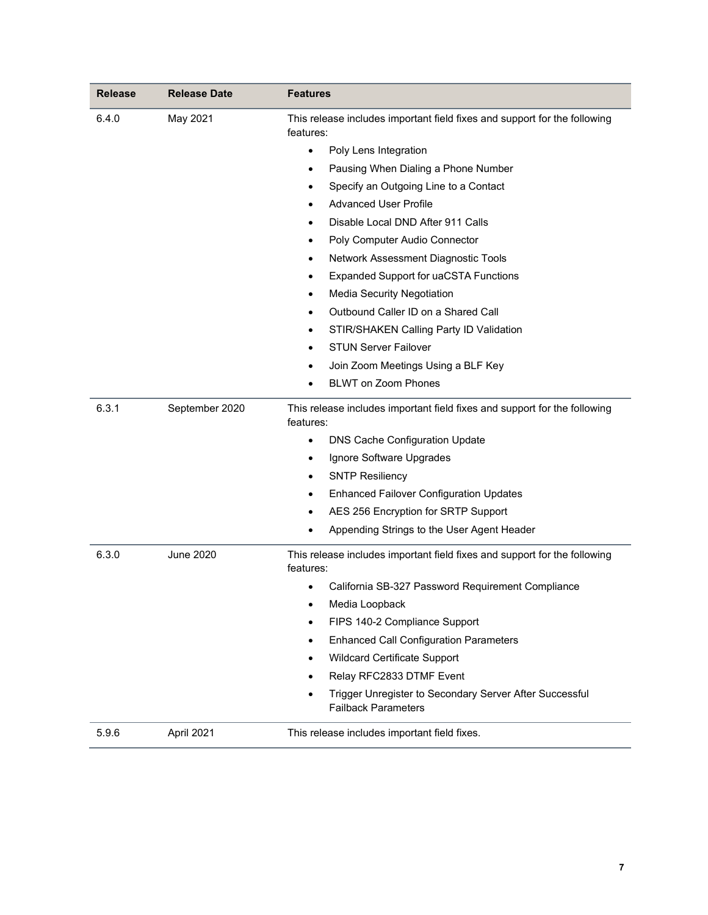| <b>Release</b> | <b>Release Date</b> | <b>Features</b>                                                                        |
|----------------|---------------------|----------------------------------------------------------------------------------------|
| 6.4.0          | May 2021            | This release includes important field fixes and support for the following<br>features: |
|                |                     | Poly Lens Integration<br>$\bullet$                                                     |
|                |                     | Pausing When Dialing a Phone Number<br>٠                                               |
|                |                     | Specify an Outgoing Line to a Contact                                                  |
|                |                     | <b>Advanced User Profile</b>                                                           |
|                |                     | Disable Local DND After 911 Calls                                                      |
|                |                     | Poly Computer Audio Connector                                                          |
|                |                     | Network Assessment Diagnostic Tools                                                    |
|                |                     | <b>Expanded Support for uaCSTA Functions</b>                                           |
|                |                     | <b>Media Security Negotiation</b>                                                      |
|                |                     | Outbound Caller ID on a Shared Call                                                    |
|                |                     | STIR/SHAKEN Calling Party ID Validation                                                |
|                |                     | <b>STUN Server Failover</b>                                                            |
|                |                     | Join Zoom Meetings Using a BLF Key                                                     |
|                |                     | <b>BLWT on Zoom Phones</b><br>$\bullet$                                                |
| 6.3.1          | September 2020      | This release includes important field fixes and support for the following<br>features: |
|                |                     | <b>DNS Cache Configuration Update</b><br>٠                                             |
|                |                     | Ignore Software Upgrades<br>٠                                                          |
|                |                     | <b>SNTP Resiliency</b>                                                                 |
|                |                     | <b>Enhanced Failover Configuration Updates</b>                                         |
|                |                     | AES 256 Encryption for SRTP Support                                                    |
|                |                     | Appending Strings to the User Agent Header<br>٠                                        |
| 6.3.0          | <b>June 2020</b>    | This release includes important field fixes and support for the following<br>features: |
|                |                     | California SB-327 Password Requirement Compliance<br>$\bullet$                         |
|                |                     | Media Loopback                                                                         |
|                |                     | FIPS 140-2 Compliance Support                                                          |
|                |                     | <b>Enhanced Call Configuration Parameters</b>                                          |
|                |                     | <b>Wildcard Certificate Support</b>                                                    |
|                |                     | Relay RFC2833 DTMF Event                                                               |
|                |                     | Trigger Unregister to Secondary Server After Successful<br><b>Failback Parameters</b>  |
| 5.9.6          | April 2021          | This release includes important field fixes.                                           |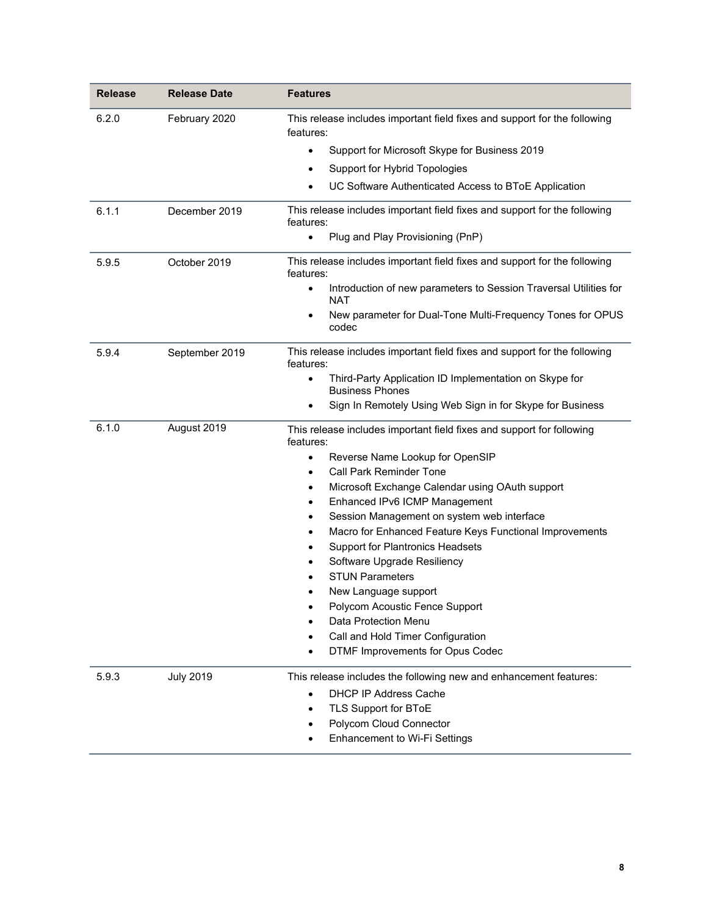| <b>Release</b> | <b>Release Date</b> | <b>Features</b>                                                                               |
|----------------|---------------------|-----------------------------------------------------------------------------------------------|
| 6.2.0          | February 2020       | This release includes important field fixes and support for the following<br>features:        |
|                |                     | Support for Microsoft Skype for Business 2019<br>$\bullet$                                    |
|                |                     | Support for Hybrid Topologies<br>٠                                                            |
|                |                     | UC Software Authenticated Access to BToE Application<br>$\bullet$                             |
| 6.1.1          | December 2019       | This release includes important field fixes and support for the following<br>features:        |
|                |                     | Plug and Play Provisioning (PnP)<br>$\bullet$                                                 |
| 5.9.5          | October 2019        | This release includes important field fixes and support for the following<br>features:        |
|                |                     | Introduction of new parameters to Session Traversal Utilities for<br>$\bullet$<br><b>NAT</b>  |
|                |                     | New parameter for Dual-Tone Multi-Frequency Tones for OPUS<br>$\bullet$<br>codec              |
| 5.9.4          | September 2019      | This release includes important field fixes and support for the following<br>features:        |
|                |                     | Third-Party Application ID Implementation on Skype for<br>$\bullet$<br><b>Business Phones</b> |
|                |                     | Sign In Remotely Using Web Sign in for Skype for Business<br>$\bullet$                        |
| 6.1.0          | August 2019         | This release includes important field fixes and support for following<br>features:            |
|                |                     | Reverse Name Lookup for OpenSIP<br>$\bullet$                                                  |
|                |                     | <b>Call Park Reminder Tone</b><br>٠                                                           |
|                |                     | Microsoft Exchange Calendar using OAuth support<br>$\bullet$                                  |
|                |                     | Enhanced IPv6 ICMP Management<br>٠                                                            |
|                |                     | Session Management on system web interface<br>$\bullet$                                       |
|                |                     | Macro for Enhanced Feature Keys Functional Improvements<br>$\bullet$                          |
|                |                     | Support for Plantronics Headsets                                                              |
|                |                     | Software Upgrade Resiliency                                                                   |
|                |                     | <b>STUN Parameters</b>                                                                        |
|                |                     | New Language support                                                                          |
|                |                     | Polycom Acoustic Fence Support                                                                |
|                |                     | Data Protection Menu                                                                          |
|                |                     | Call and Hold Timer Configuration                                                             |
|                |                     | DTMF Improvements for Opus Codec                                                              |
| 5.9.3          | <b>July 2019</b>    | This release includes the following new and enhancement features:                             |
|                |                     | <b>DHCP IP Address Cache</b><br>$\bullet$                                                     |
|                |                     | TLS Support for BToE                                                                          |
|                |                     | Polycom Cloud Connector                                                                       |
|                |                     | Enhancement to Wi-Fi Settings                                                                 |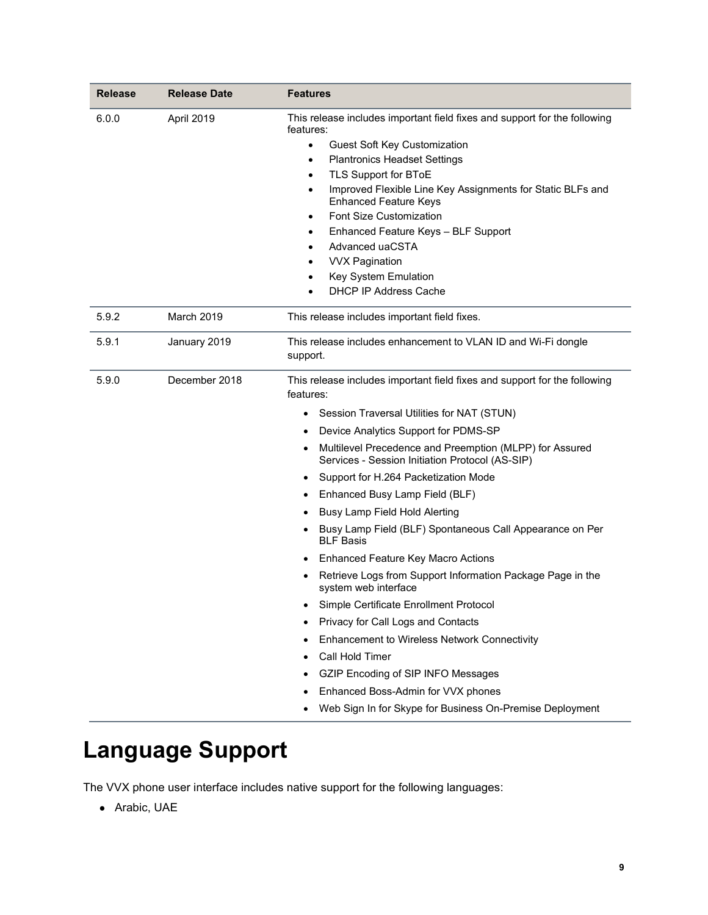| <b>Release</b> | <b>Release Date</b> | <b>Features</b>                                                                                                                                                                                                                                                                                                                                                                                                                                                                                                                                                                                                                                                                                                                                                                                                                                                                                                                                                             |
|----------------|---------------------|-----------------------------------------------------------------------------------------------------------------------------------------------------------------------------------------------------------------------------------------------------------------------------------------------------------------------------------------------------------------------------------------------------------------------------------------------------------------------------------------------------------------------------------------------------------------------------------------------------------------------------------------------------------------------------------------------------------------------------------------------------------------------------------------------------------------------------------------------------------------------------------------------------------------------------------------------------------------------------|
| 6.0.0          | April 2019          | This release includes important field fixes and support for the following<br>features:<br><b>Guest Soft Key Customization</b><br>$\bullet$<br><b>Plantronics Headset Settings</b><br>$\bullet$<br>TLS Support for BToE<br>$\bullet$<br>Improved Flexible Line Key Assignments for Static BLFs and<br>$\bullet$<br><b>Enhanced Feature Keys</b><br>Font Size Customization<br>$\bullet$<br>Enhanced Feature Keys - BLF Support<br>$\bullet$<br>Advanced uaCSTA<br><b>VVX Pagination</b><br>$\bullet$<br>Key System Emulation<br>$\bullet$<br><b>DHCP IP Address Cache</b><br>$\bullet$                                                                                                                                                                                                                                                                                                                                                                                       |
| 5.9.2          | <b>March 2019</b>   | This release includes important field fixes.                                                                                                                                                                                                                                                                                                                                                                                                                                                                                                                                                                                                                                                                                                                                                                                                                                                                                                                                |
| 5.9.1          | January 2019        | This release includes enhancement to VLAN ID and Wi-Fi dongle<br>support.                                                                                                                                                                                                                                                                                                                                                                                                                                                                                                                                                                                                                                                                                                                                                                                                                                                                                                   |
| 5.9.0          | December 2018       | This release includes important field fixes and support for the following<br>features:<br>Session Traversal Utilities for NAT (STUN)<br>Device Analytics Support for PDMS-SP<br>$\bullet$<br>Multilevel Precedence and Preemption (MLPP) for Assured<br>Services - Session Initiation Protocol (AS-SIP)<br>Support for H.264 Packetization Mode<br>٠<br>Enhanced Busy Lamp Field (BLF)<br>٠<br>Busy Lamp Field Hold Alerting<br>٠<br>Busy Lamp Field (BLF) Spontaneous Call Appearance on Per<br><b>BLF Basis</b><br><b>Enhanced Feature Key Macro Actions</b><br>٠<br>Retrieve Logs from Support Information Package Page in the<br>system web interface<br>Simple Certificate Enrollment Protocol<br>Privacy for Call Logs and Contacts<br>Enhancement to Wireless Network Connectivity<br>٠<br>Call Hold Timer<br>$\bullet$<br>GZIP Encoding of SIP INFO Messages<br>٠<br>Enhanced Boss-Admin for VVX phones<br>Web Sign In for Skype for Business On-Premise Deployment |

# <span id="page-8-0"></span>**Language Support**

The VVX phone user interface includes native support for the following languages:

● Arabic, UAE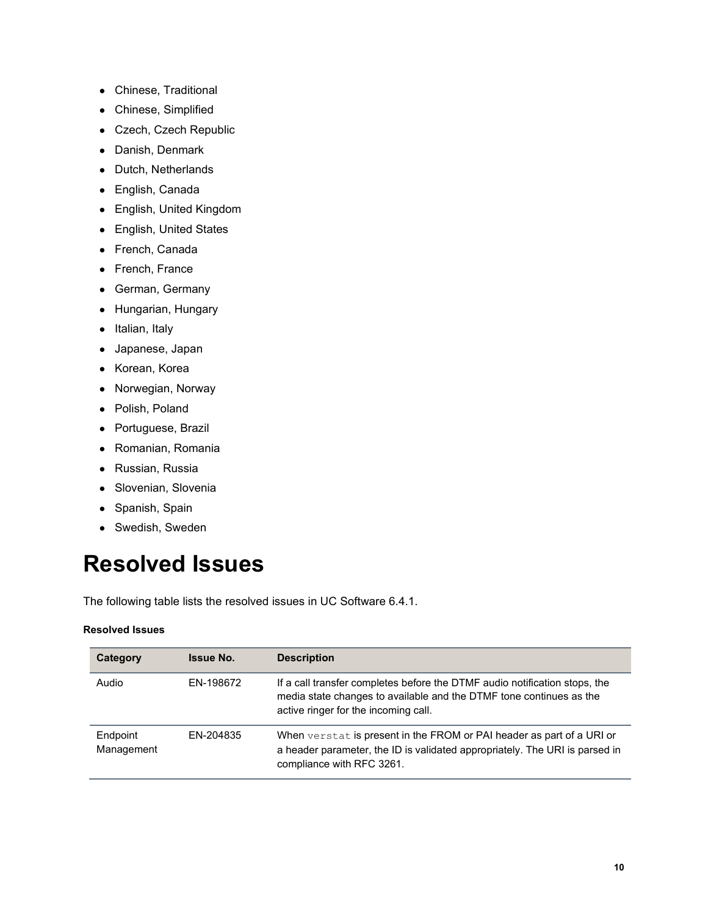- Chinese, Traditional
- Chinese, Simplified
- Czech, Czech Republic
- Danish, Denmark
- Dutch, Netherlands
- English, Canada
- English, United Kingdom
- English, United States
- French, Canada
- French, France
- German, Germany
- Hungarian, Hungary
- Italian, Italy
- Japanese, Japan
- Korean, Korea
- Norwegian, Norway
- Polish, Poland
- Portuguese, Brazil
- Romanian, Romania
- Russian, Russia
- Slovenian, Slovenia
- Spanish, Spain
- Swedish, Sweden

## <span id="page-9-0"></span>**Resolved Issues**

The following table lists the resolved issues in UC Software 6.4.1.

#### **Resolved Issues**

| Category               | <b>Issue No.</b> | <b>Description</b>                                                                                                                                                                        |
|------------------------|------------------|-------------------------------------------------------------------------------------------------------------------------------------------------------------------------------------------|
| Audio                  | EN-198672        | If a call transfer completes before the DTMF audio notification stops, the<br>media state changes to available and the DTMF tone continues as the<br>active ringer for the incoming call. |
| Endpoint<br>Management | EN-204835        | When verstat is present in the FROM or PAI header as part of a URI or<br>a header parameter, the ID is validated appropriately. The URI is parsed in<br>compliance with RFC 3261.         |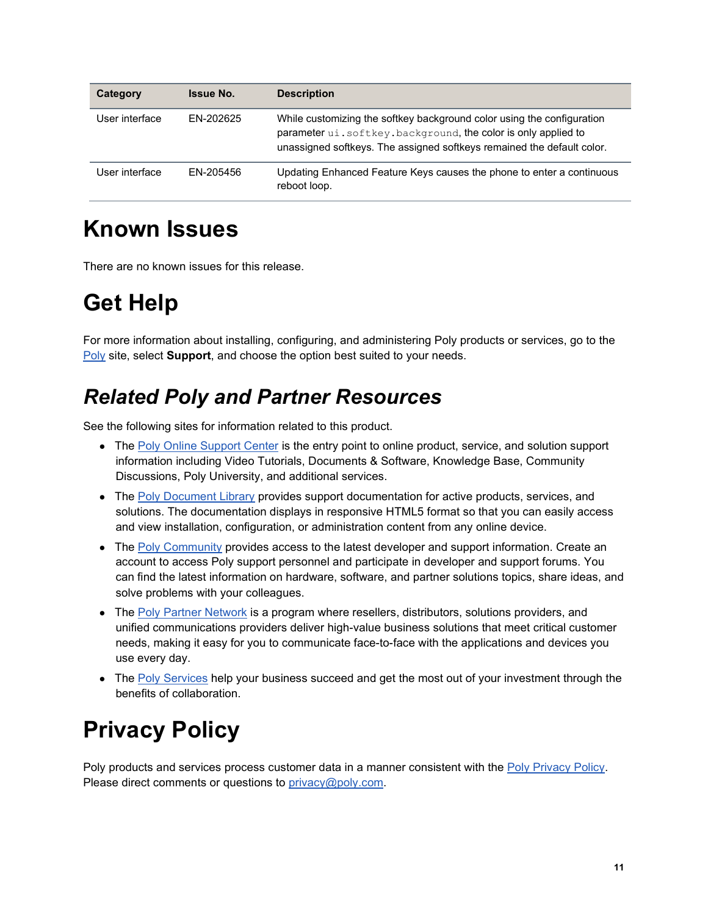| Category       | <b>Issue No.</b> | <b>Description</b>                                                                                                                                                                                                |
|----------------|------------------|-------------------------------------------------------------------------------------------------------------------------------------------------------------------------------------------------------------------|
| User interface | FN-202625        | While customizing the softkey background color using the configuration<br>parameter ui.softkey.background, the color is only applied to<br>unassigned softkeys. The assigned softkeys remained the default color. |
| User interface | FN-205456        | Updating Enhanced Feature Keys causes the phone to enter a continuous<br>reboot loop.                                                                                                                             |

## <span id="page-10-0"></span>**Known Issues**

There are no known issues for this release.

# <span id="page-10-1"></span>**Get Help**

For more information about installing, configuring, and administering Poly products or services, go to the [Poly](https://www.poly.com/us/en) site, select **Support**, and choose the option best suited to your needs.

## *Related Poly and Partner Resources*

See the following sites for information related to this product.

- The [Poly Online Support Center](https://support.polycom.com/) is the entry point to online product, service, and solution support information including Video Tutorials, Documents & Software, Knowledge Base, Community Discussions, Poly University, and additional services.
- The [Poly Document Library](https://documents.polycom.com/) provides support documentation for active products, services, and solutions. The documentation displays in responsive HTML5 format so that you can easily access and view installation, configuration, or administration content from any online device.
- The [Poly Community](https://community.polycom.com/) provides access to the latest developer and support information. Create an account to access Poly support personnel and participate in developer and support forums. You can find the latest information on hardware, software, and partner solutions topics, share ideas, and solve problems with your colleagues.
- The [Poly Partner Network](https://www.poly.com/us/en/partners) is a program where resellers, distributors, solutions providers, and unified communications providers deliver high-value business solutions that meet critical customer needs, making it easy for you to communicate face-to-face with the applications and devices you use every day.
- The [Poly Services](https://www.poly.com/us/en/products/services) help your business succeed and get the most out of your investment through the benefits of collaboration.

# <span id="page-10-2"></span>**Privacy Policy**

Poly products and services process customer data in a manner consistent with the [Poly Privacy Policy.](https://www.poly.com/us/en/legal/privacy) Please direct comments or questions to [privacy@poly.com.](mailto:privacy@poly.com)